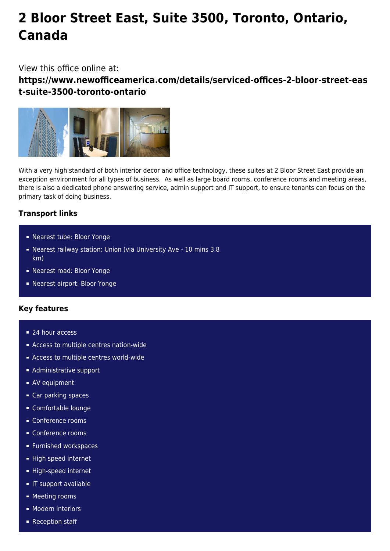# **2 Bloor Street East, Suite 3500, Toronto, Ontario, Canada**

## View this office online at:

**https://www.newofficeamerica.com/details/serviced-offices-2-bloor-street-eas t-suite-3500-toronto-ontario**



With a very high standard of both interior decor and office technology, these suites at 2 Bloor Street East provide an exception environment for all types of business. As well as large board rooms, conference rooms and meeting areas, there is also a dedicated phone answering service, admin support and IT support, to ensure tenants can focus on the primary task of doing business.

# **Transport links**

- Nearest tube: Bloor Yonge
- Nearest railway station: Union (via University Ave 10 mins 3.8 km)
- Nearest road: Bloor Yonge
- Nearest airport: Bloor Yonge

## **Key features**

- 24 hour access
- Access to multiple centres nation-wide
- **Access to multiple centres world-wide**
- **Administrative support**
- **AV** equipment
- Car parking spaces
- Comfortable lounge
- Conference rooms
- Conference rooms
- **Furnished workspaces**
- High speed internet
- High-speed internet
- **IF support available**
- **Meeting rooms**
- **Modern interiors**
- Reception staff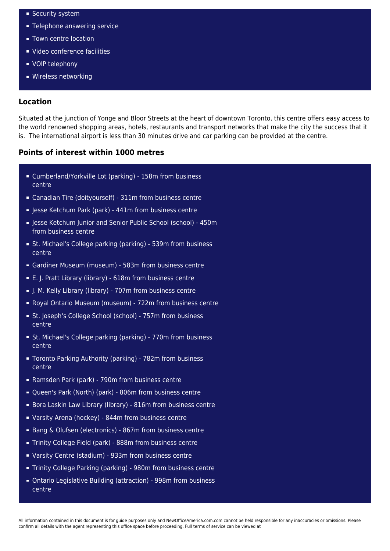- **Security system**
- **Telephone answering service**
- **Town centre location**
- Video conference facilities
- **vOIP** telephony
- **Wireless networking**

### **Location**

Situated at the junction of Yonge and Bloor Streets at the heart of downtown Toronto, this centre offers easy access to the world renowned shopping areas, hotels, restaurants and transport networks that make the city the success that it is. The international airport is less than 30 minutes drive and car parking can be provided at the centre.

### **Points of interest within 1000 metres**

- Cumberland/Yorkville Lot (parking) 158m from business centre
- Canadian Tire (doityourself) 311m from business centre
- Jesse Ketchum Park (park) 441m from business centre
- **E** Jesse Ketchum Junior and Senior Public School (school) 450m from business centre
- St. Michael's College parking (parking) 539m from business centre
- Gardiner Museum (museum) 583m from business centre
- E. J. Pratt Library (library) 618m from business centre
- I. M. Kelly Library (library) 707m from business centre
- Royal Ontario Museum (museum) 722m from business centre
- St. Joseph's College School (school) 757m from business centre
- St. Michael's College parking (parking) 770m from business centre
- Toronto Parking Authority (parking) 782m from business centre
- Ramsden Park (park) 790m from business centre
- Queen's Park (North) (park) 806m from business centre
- Bora Laskin Law Library (library) 816m from business centre
- Varsity Arena (hockey) 844m from business centre
- Bang & Olufsen (electronics) 867m from business centre
- Trinity College Field (park) 888m from business centre
- Varsity Centre (stadium) 933m from business centre
- Trinity College Parking (parking) 980m from business centre
- Ontario Legislative Building (attraction) 998m from business centre